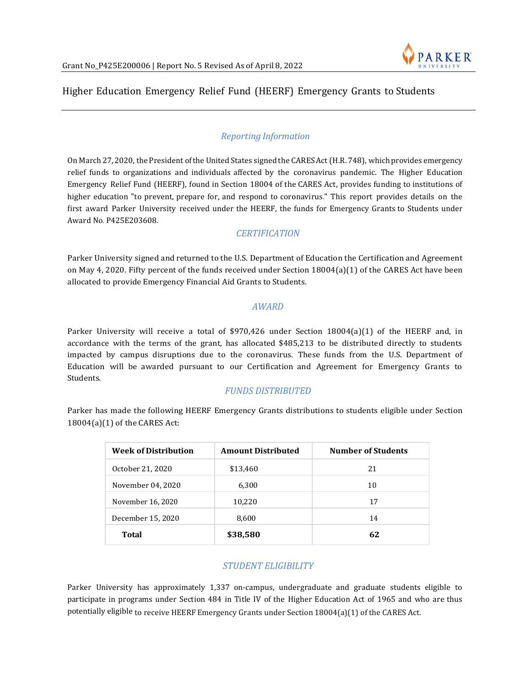

# Higher Education Emergency Relief Fund (HEERF) Emergency Grants to Students

## *Reporting Information*

On March 27, 2020, the President ofthe United States signed the CARESAct (H.R. 748), which provides emergency relief funds to organizations and individuals affected by the coronavirus pandemic. The Higher Education Emergency Relief Fund (HEERF), found in Section 18004 of the CARES Act, provides funding to institutions of higher education "to prevent, prepare for, and respond to coronavirus." This report provides details on the first award Parker University received under the HEERF, the funds for Emergency Grants to Students under Award No. P425E203608.

### *CERTIFICATION*

Parker University signed and returned to the U.S. Department of Education the Certification and Agreement on May 4, 2020. Fifty percent of the funds received under Section 18004(a)(1) of the CARES Act have been allocated to provide Emergency Financial Aid Grants to Students.

#### *AWARD*

Parker University will receive a total of \$970,426 under Section 18004(a)(1) of the HEERF and, in accordance with the terms of the grant, has allocated \$485,213 to be distributed directly to students impacted by campus disruptions due to the coronavirus. These funds from the U.S. Department of Education will be awarded pursuant to our Certification and Agreement for Emergency Grants to Students.

### *FUNDS DISTRIBUTED*

Parker has made the following HEERF Emergency Grants distributions to students eligible under Section 18004(a)(1) of the CARES Act:

| <b>Week of Distribution</b> | <b>Amount Distributed</b> | <b>Number of Students</b> |
|-----------------------------|---------------------------|---------------------------|
| October 21, 2020            | \$13,460                  | 21                        |
| November 04, 2020           | 6,300                     | 10                        |
| November 16, 2020           | 10,220                    | 17                        |
| December 15, 2020           | 8,600                     | 14                        |
| Total                       | \$38,580                  | 62                        |

### *STUDENT ELIGIBILITY*

Parker University has approximately 1,337 on-campus, undergraduate and graduate students eligible to participate in programs under Section 484 in Title IV of the Higher Education Act of 1965 and who are thus potentially eligible to receive HEERF Emergency Grants under Section 18004(a)(1) of the CARES Act.